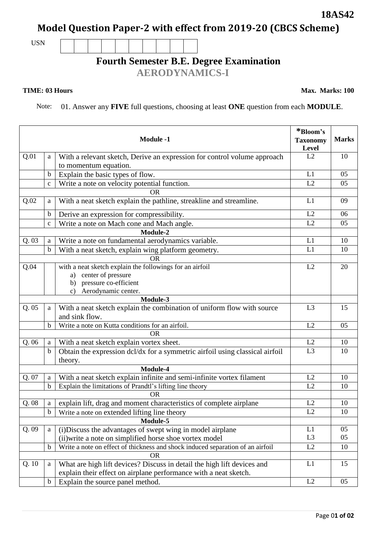## **Model Question Paper-2 with effect from 2019-20 (CBCS Scheme)**

USN

## **Fourth Semester B.E. Degree Examination**

 **AERODYNAMICS-I**

## **TIME: 03 Hours Max. Marks: 100**

Note: 01. Answer any **FIVE** full questions, choosing at least **ONE** question from each **MODULE**.

|                                                                         |               | <b>Module -1</b>                                                                                  | *Bloom's<br><b>Taxonomy</b><br><b>Level</b> | <b>Marks</b> |
|-------------------------------------------------------------------------|---------------|---------------------------------------------------------------------------------------------------|---------------------------------------------|--------------|
| Q.01                                                                    | a             | With a relevant sketch, Derive an expression for control volume approach<br>to momentum equation. | L2                                          | 10           |
|                                                                         | $\mathbf b$   | Explain the basic types of flow.                                                                  | L1                                          | 05           |
|                                                                         | $\mathbf{C}$  | Write a note on velocity potential function.                                                      | L2                                          | 05           |
|                                                                         |               | <b>OR</b>                                                                                         |                                             |              |
| Q.02                                                                    | a             | With a neat sketch explain the pathline, streakline and streamline.                               | L1                                          | 09           |
|                                                                         | $\mathbf b$   | Derive an expression for compressibility.                                                         | L2                                          | 06           |
|                                                                         | $\mathbf c$   | Write a note on Mach cone and Mach angle.                                                         | L2                                          | 05           |
| Module-2                                                                |               |                                                                                                   |                                             |              |
| Q.03                                                                    | a             | Write a note on fundamental aerodynamics variable.                                                | L1                                          | 10           |
|                                                                         | $\mathbf b$   | With a neat sketch, explain wing platform geometry.                                               | L1                                          | 10           |
| OR                                                                      |               |                                                                                                   |                                             |              |
| Q.04                                                                    |               | with a neat sketch explain the followings for an airfoil                                          | L2                                          | 20           |
|                                                                         |               | a) center of pressure                                                                             |                                             |              |
|                                                                         |               | pressure co-efficient<br>b)                                                                       |                                             |              |
|                                                                         |               | Aerodynamic center.<br>$\mathbf{c}$ )                                                             |                                             |              |
| Module-3                                                                |               |                                                                                                   |                                             |              |
| Q.05                                                                    | a             | With a neat sketch explain the combination of uniform flow with source<br>and sink flow.          | L3                                          | 15           |
|                                                                         | $\mathbf b$   | Write a note on Kutta conditions for an airfoil.                                                  | L2                                          | 05           |
| <b>OR</b>                                                               |               |                                                                                                   |                                             |              |
| Q. 06                                                                   | a             | With a neat sketch explain vortex sheet.                                                          | L2                                          | 10           |
|                                                                         | $\mathbf b$   | Obtain the expression dcl/dx for a symmetric airfoil using classical airfoil                      | L <sub>3</sub>                              | 10           |
|                                                                         |               | theory.<br>Module-4                                                                               |                                             |              |
| Q. 07                                                                   | a             | With a neat sketch explain infinite and semi-infinite vortex filament                             | L2                                          | 10           |
|                                                                         | $\mathbf b$   | Explain the limitations of Prandtl's lifting line theory                                          | L2                                          | 10           |
|                                                                         |               | <b>OR</b>                                                                                         |                                             |              |
| Q.08                                                                    | a             | explain lift, drag and moment characteristics of complete airplane                                | L2                                          | 10           |
|                                                                         | $\mathbf b$   | Write a note on extended lifting line theory                                                      | L2                                          | 10           |
|                                                                         |               | Module-5                                                                                          |                                             |              |
| Q.09<br>(i) Discuss the advantages of swept wing in model airplane<br>a |               |                                                                                                   | L1                                          | 05           |
|                                                                         |               | (ii) write a note on simplified horse shoe vortex model                                           | L <sub>3</sub>                              | 05           |
|                                                                         | $\mathbf b$   | Write a note on effect of thickness and shock induced separation of an airfoil                    | L2                                          | 10           |
|                                                                         |               | <b>OR</b>                                                                                         |                                             |              |
| Q.10                                                                    | a             | What are high lift devices? Discuss in detail the high lift devices and                           | L1                                          | 15           |
|                                                                         |               | explain their effect on airplane performance with a neat sketch.                                  |                                             |              |
|                                                                         | $\mathfrak b$ | Explain the source panel method.                                                                  | L2                                          | 05           |
|                                                                         |               |                                                                                                   |                                             |              |

**18AS42**